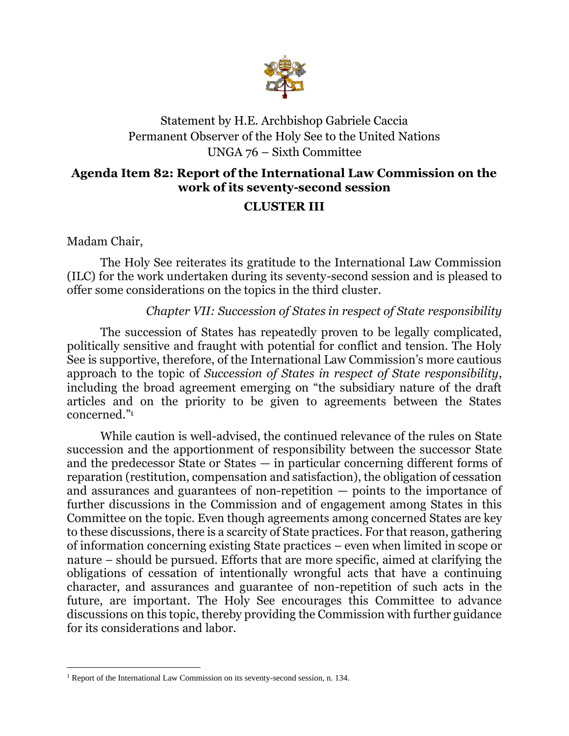

## Statement by H.E. Archbishop Gabriele Caccia Permanent Observer of the Holy See to the United Nations UNGA 76 – Sixth Committee

## **Agenda Item 82: Report of the International Law Commission on the work of its seventy-second session**

## **CLUSTER III**

Madam Chair,

The Holy See reiterates its gratitude to the International Law Commission (ILC) for the work undertaken during its seventy-second session and is pleased to offer some considerations on the topics in the third cluster.

## *Chapter VII: Succession of States in respect of State responsibility*

The succession of States has repeatedly proven to be legally complicated, politically sensitive and fraught with potential for conflict and tension. The Holy See is supportive, therefore, of the International Law Commission's more cautious approach to the topic of *Succession of States in respect of State responsibility*, including the broad agreement emerging on "the subsidiary nature of the draft articles and on the priority to be given to agreements between the States concerned." 1

While caution is well-advised, the continued relevance of the rules on State succession and the apportionment of responsibility between the successor State and the predecessor State or States — in particular concerning different forms of reparation (restitution, compensation and satisfaction), the obligation of cessation and assurances and guarantees of non-repetition — points to the importance of further discussions in the Commission and of engagement among States in this Committee on the topic. Even though agreements among concerned States are key to these discussions, there is a scarcity of State practices. For that reason, gathering of information concerning existing State practices – even when limited in scope or nature – should be pursued. Efforts that are more specific, aimed at clarifying the obligations of cessation of intentionally wrongful acts that have a continuing character, and assurances and guarantee of non-repetition of such acts in the future, are important. The Holy See encourages this Committee to advance discussions on this topic, thereby providing the Commission with further guidance for its considerations and labor.

<sup>1</sup> Report of the International Law Commission on its seventy-second session, n. 134.